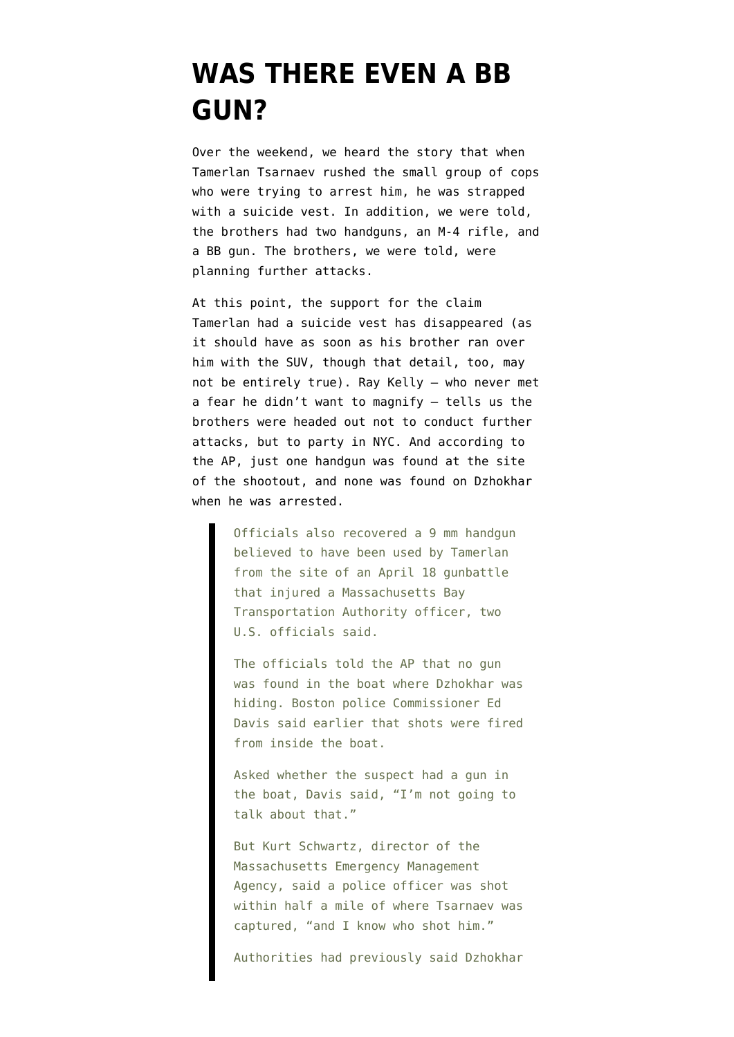## **[WAS THERE EVEN A BB](https://www.emptywheel.net/2013/04/25/was-there-even-a-bb-gun/) [GUN?](https://www.emptywheel.net/2013/04/25/was-there-even-a-bb-gun/)**

Over the weekend, we heard the story that when Tamerlan Tsarnaev rushed the small group of cops who were trying to arrest him, he was strapped with a suicide vest. In addition, [we were told,](http://www.nytimes.com/2013/04/22/us/boston-marathon-bombing-suspects-hoped-to-attack-again.html?smid=tw-share&pagewanted=all) the brothers had two handguns, an M-4 rifle, and a BB gun. The brothers, we were told, were planning further attacks.

At this point, the support for the claim Tamerlan had a suicide vest has disappeared (as it should have as soon as his brother ran over him with the SUV, though that detail, too, may not be entirely true). Ray Kelly — who never met a fear he didn't want to magnify — [tells us](http://www.huffingtonpost.com/2013/04/24/boston-bombing-suspects-new-york-party_n_3147901.html) the brothers were headed out not to conduct further attacks, but to party in NYC. And [according to](http://bigstory.ap.org/article/miranda-warning-then-silence-bombing-suspect) [the AP](http://bigstory.ap.org/article/miranda-warning-then-silence-bombing-suspect), just one handgun was found at the site of the shootout, and none was found on Dzhokhar when he was arrested.

> Officials also recovered a 9 mm handgun believed to have been used by Tamerlan from the site of an April 18 gunbattle that injured a Massachusetts Bay Transportation Authority officer, two U.S. officials said.

The officials told the AP that no gun was found in the boat where Dzhokhar was hiding. Boston police Commissioner Ed Davis said earlier that shots were fired from inside the boat.

Asked whether the suspect had a gun in the boat, Davis said, "I'm not going to talk about that."

But Kurt Schwartz, director of the Massachusetts Emergency Management Agency, said a police officer was shot within half a mile of where Tsarnaev was captured, "and I know who shot him."

Authorities had previously said Dzhokhar